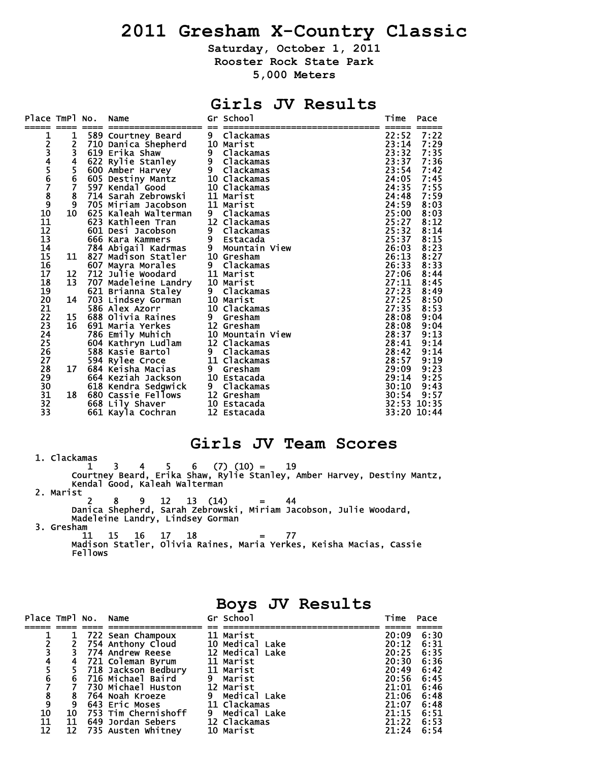# **2011 Gresham X-Country Classic**

**Saturday, October 1, 2011** 

**Rooster Rock State Park** 

**5,000 Meters** 

## **Girls JV Results**

| Place TmPl No.                        |                         | Name                                               |                | Gr School                | Time           | Pace             |
|---------------------------------------|-------------------------|----------------------------------------------------|----------------|--------------------------|----------------|------------------|
|                                       |                         |                                                    |                |                          |                |                  |
| 123456789                             | 1                       | 589 Courtney Beard                                 | 9              | Clackamas                | 22:52          | 7:22             |
|                                       | 2<br>3                  | 710 Danica Shepherd                                |                | 10 Marist                | 23:14          | 7:29             |
|                                       | $\overline{\mathbf{r}}$ | 619 Erika Shaw                                     | 9 <sub>o</sub> | Clackamas<br>9 Clackamas | 23:32          | 7:35<br>7:36     |
|                                       |                         | 622 Rylie Stanley                                  |                |                          | 23:37<br>23:54 | 7:42             |
|                                       | $\frac{5}{6}$           | 600 Amber Harvey<br>605 Destiny Mantz 10 Clackamas |                |                          | 24:05          |                  |
|                                       | $\overline{7}$          |                                                    |                |                          | 24:35          | $7:45$<br>$7:55$ |
|                                       | 8                       |                                                    |                |                          | 24:48          | 7:59             |
|                                       | $\overline{9}$          | 705 Miriam Jacobson 11 Marist                      |                |                          | 24:59          | 8:03             |
| 10                                    | 10                      | 625 Kaleah Walterman                               | - 9            | Clackamas                | 25:00          | 8:03             |
| $\bar{1}\bar{1}$                      |                         | 623 Kathleen Tran                                  |                | 12 Clackamas             | 25:27          | 8:12             |
| 12                                    |                         | 601 Desi Jacobson                                  | 9              | Clackamas                | 25:32          | 8:14             |
| 13                                    |                         | 666 Kara Kammers                                   |                | 9 Estacada               | 25:37          | 8:15             |
| 14                                    |                         | 784 Abigail Kadrmas 9                              |                | Mountain View            | 26:03          | 8:23             |
|                                       | 11                      | 827 Madison Statler                                |                | 10 Gresham               | 26:13          | 8:27             |
|                                       |                         | 607 Mayra Morales                                  |                | 9 Clackamas              | 26:33          | 8:33             |
| 15<br>16<br>17                        | 12                      | 712 Julie Woodard                                  |                | 11 Marist                | 27:06          | 8:44             |
| 18                                    | 13                      | 707 Madeleine Landry                               |                | 10 Marist                | 27:11          | 8:45             |
| 19                                    |                         | 621 Brianna Staley                                 | 9              | Clackamas                | 27:23          | 8:49             |
| 20                                    | 14                      | 703 Lindsey Gorman 10 Marist                       |                |                          | 27:25          | 8:50             |
| 21                                    |                         | 586 Alex Azorr                                     |                | 10 Clackamas             | 27:35          | 8:53             |
| $\frac{\overline{2}\overline{2}}{23}$ | 15                      | 688 Olivia Raines                                  |                | 9 Gresham                | 28:08          | 9:04             |
|                                       | 16                      |                                                    |                | <b>12 Gresham</b>        | 28:08<br>28:37 | $9:04$<br>$9:13$ |
| $\frac{24}{25}$                       |                         | 691 Maria Yerkes<br>786 Emily Muhich               |                | 10 Mountain View         |                |                  |
|                                       |                         | 604 Kathryn Ludlam                                 |                | 12 Clackamas             | 28:41          | 9:14             |
| $\frac{26}{27}$                       |                         | 588 Kasie Bartol                                   |                | 9 Clackamas              | 28:42          | 9:14             |
|                                       |                         | 594 Rylee Croce                                    |                | 11 Clackamas             | 28:57          | 9:19             |
| 28                                    | 17                      | 684 Keisha Macias                                  | $9^{\circ}$    | Gresham                  | 29:09          | 9:23             |
| 29                                    |                         | 664 Keziah Jackson 10 Estacada                     |                |                          | 29:14          | 9:25             |
| 30                                    |                         | 618 Kendra Sedgwick                                |                | 9 Clackamas              | 30:10          | 9:43             |
| 31                                    | 18                      | 680 Cassie Fellows                                 |                | 12 Gresham               | 30:54          | 9:57             |
| $\overline{3}2$                       |                         | 668 Lily Shaver                                    |                | 10 Estacada              |                | 32:53 10:35      |
| 33                                    |                         | 661 Kayla Cochran                                  |                | 12 Estacada              |                | 33:20 10:44      |

### **Girls JV Team Scores**

**Boys JV Results** 

 1. Clackamas 1 3 4 5 6 (7) (10) = 19 Courtney Beard, Erika Shaw, Rylie Stanley, Amber Harvey, Destiny Mantz, Kendal Good, Kaleah Walterman 2. Marist 2 8 9 12 13 (14) = 44 Danica Shepherd, Sarah Zebrowski, Miriam Jacobson, Julie Woodard, Madeleine Landry, Lindsey Gorman

3. Gresham

 11 15 16 17 18 = 77 Madison Statler, Olivia Raines, Maria Yerkes, Keisha Macias, Cassie Fellows

| Place TmPl No. Name                        |    |                       | Gr School       | Time  | Pace |
|--------------------------------------------|----|-----------------------|-----------------|-------|------|
|                                            |    |                       |                 |       |      |
|                                            |    | 722 Sean Champoux     | 11 Marist       | 20:09 | 6:30 |
|                                            |    |                       | 10 Medical Lake | 20:12 | 6:31 |
|                                            |    | 754 Anthony Cloud     |                 |       |      |
|                                            |    | 774 Andrew Reese      | 12 Medical Lake | 20:25 | 6:35 |
|                                            |    | 721 Coleman Byrum     | 11 Marist       | 20:30 | 6:36 |
|                                            |    | 718 Jackson Bedbury   | 11 Marist       | 20:49 | 6:42 |
| $\overline{6}$                             | 6  | 716 Michael Baird     | 9 Marist        | 20:56 | 6:45 |
|                                            |    | 730 Michael Huston    | 12 Marist       | 21:01 | 6:46 |
| $\begin{array}{c} 7 \\ 8 \\ 9 \end{array}$ | 8  | 764 Noah Kroeze       | 9 Medical Lake  | 21:06 | 6:48 |
|                                            | 9  | 643 Eric Moses        | 11 Clackamas    | 21:07 | 6:48 |
| 10                                         | 10 | 753 Tim Chernishoff   | 9 Medical Lake  | 21:15 | 6:51 |
| 11                                         | 11 | 649 Jordan Sebers     | 12 Clackamas    | 21:22 | 6:53 |
| 12                                         |    | 12 735 Austen Whitney | 10 Marist       | 21:24 | 6:54 |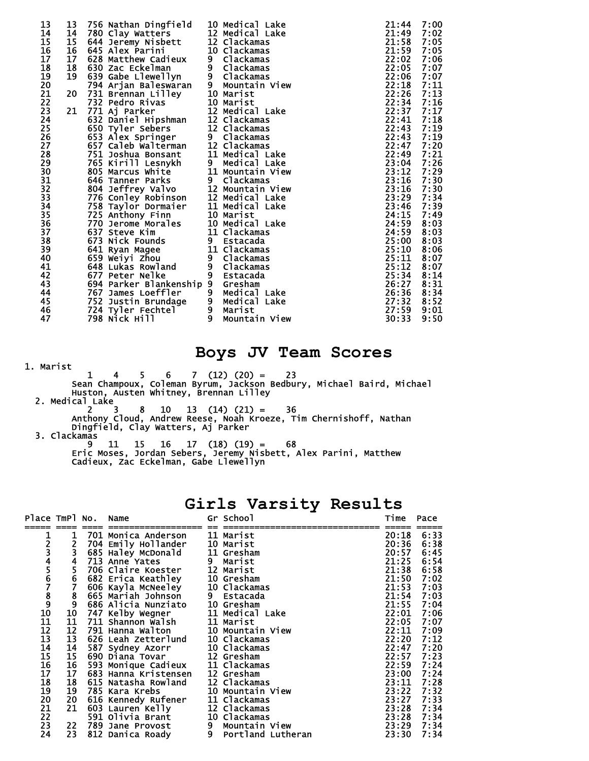| 13              | 13 | 756 Nathan Dingfield                                      |   | 10 Medical Lake            | 21:44 | 7:00 |
|-----------------|----|-----------------------------------------------------------|---|----------------------------|-------|------|
| 14              | 14 |                                                           |   | 12 Medical Lake            | 21:49 | 7:02 |
| 15              | 15 | rou Clay Watters<br>644 Jeremy Nisbett<br>645 Aley Bories |   | 12 Clackamas               | 21:58 | 7:05 |
| 16              | 16 | 645 Alex Parini                                           |   | 10 Clackamas               | 21:59 | 7:05 |
| 17              | 17 | 628 Matthew Cadieux                                       |   | 9 Clackamas                | 22:02 | 7:06 |
| 18              | 18 | 630 Zac Eckelman                                          |   |                            | 22:05 | 7:07 |
| 19              | 19 | 639 Gabe Llewellyn                                        |   | 9 Clackamas<br>9 Clackamas | 22:06 | 7:07 |
| 20              |    | 794 Arjan Baleswaran                                      |   | 9 Mountain View            | 22:18 | 7:11 |
| 21              | 20 | 731 Brennan Lilley                                        |   | 10 Marist                  | 22:26 | 7:13 |
| 22              |    | 732 Pedro Rivas                                           |   | 10 Marist                  | 22:34 | 7:16 |
| 23              | 21 | 771 Aj Parker                                             |   | 12 Medical Lake            | 22:37 | 7:17 |
| 24              |    | 632 Daniel Hipshman                                       |   | 12 Clackamas               | 22:41 | 7:18 |
| 25              |    | 650 Tyler Sebers                                          |   | 12 Clackamas               | 22:43 | 7:19 |
| $\overline{26}$ |    | 653 Alex Springer                                         |   | 9 Clackamas                | 22:43 | 7:19 |
| 27              |    | 657 Caleb Walterman                                       |   | 12 Clackamas               | 22:47 | 7:20 |
| 28              |    | 751 Joshua Bonsant                                        |   | 11 Medical Lake            | 22:49 | 7:21 |
| 29              |    | 765 Kirill Lesnykh                                        |   | 9 Medical Lake             | 23:04 | 7:26 |
| 30              |    | 805 Marcus White                                          |   | 11 Mountain View           | 23:12 | 7:29 |
| 31              |    | 646 Tanner Parks                                          |   | 9 Clackamas                | 23:16 | 7:30 |
| 32              |    | 804 Jeffrey Valvo<br>776 Conley Robinson                  |   | 12 Mountain View           | 23:16 | 7:30 |
| 33              |    |                                                           |   | 12 Medical Lake            | 23:29 | 7:34 |
| $\overline{34}$ |    | 758 Taylor Dormaier                                       |   | 11 Medical Lake            | 23:46 | 7:39 |
| 35<br>36        |    | 725 Anthony Finn                                          |   | 10 Marist                  | 24:15 | 7:49 |
|                 |    | 770 Jerome Morales                                        |   | 10 Medical Lake            | 24:59 | 8:03 |
| 37              |    | 637 Steve Kim                                             |   | 11 Clackamas               | 24:59 | 8:03 |
| 38              |    | 673 Nick Founds                                           |   | 9 Estacada                 | 25:00 | 8:03 |
| 39              |    | 641 Ryan Magee                                            |   | 11 Clackamas               | 25:10 | 8:06 |
| 40              |    | 659 Weiyi Zhou                                            |   | 9 Clackamas                | 25:11 | 8:07 |
| 41              |    | 648 Lukas Rowland                                         |   | 9 Clackamas                | 25:12 | 8:07 |
| 42              |    | 677 Peter Nelke                                           |   | 9 Estacada                 | 25:34 | 8:14 |
| 43              |    | 694 Parker Blankenship 9 Gresham                          |   |                            | 26:27 | 8:31 |
| 44              |    | 767 James Loeffler                                        |   | 9 Medical Lake             | 26:36 | 8:34 |
| 45              |    | 752 Justin Brundage                                       |   | 9 Medical Lake             | 27:32 | 8:52 |
| 46              |    | 724 Tyler Fechtel                                         |   | 9 Marist                   | 27:59 | 9:01 |
| 47              |    | 798 Nick Hill                                             | 9 | Mountain View              | 30:33 | 9:50 |

## **Boys JV Team Scores**

1. Marist

 $1 \quad 4 \quad 5 \quad 6 \quad 7 \quad (12) \quad (20) = \quad 23$  Sean Champoux, Coleman Byrum, Jackson Bedbury, Michael Baird, Michael Huston, Austen Whitney, Brennan Lilley 2. Medical Lake

 2 3 8 10 13 (14) (21) = 36 Anthony Cloud, Andrew Reese, Noah Kroeze, Tim Chernishoff, Nathan Dingfield, Clay Watters, Aj Parker

3. Clackamas

 9 11 15 16 17 (18) (19) = 68 Eric Moses, Jordan Sebers, Jeremy Nisbett, Alex Parini, Matthew Cadieux, Zac Eckelman, Gabe Llewellyn

| Place TmPl No.  |               | Name                                     |                | Gr School         | Time       | Pace |
|-----------------|---------------|------------------------------------------|----------------|-------------------|------------|------|
|                 |               |                                          |                |                   |            |      |
|                 | 1             | 701 Monica Anderson                      |                | 11 Marist         | 20:18      | 6:33 |
|                 | 2             | 704 Emily Hollander                      |                | 10 Marist         | 20:36      | 6:38 |
|                 | 3             | 685 Haley McDonald 11 Gresham            |                |                   | 20:57      | 6:45 |
|                 | $rac{4}{5}$   | 713 Anne Yates                           |                | 9 Marist          | 21:25      | 6:54 |
|                 |               | 706 Claire Koester                       |                | 12 Marist         | 21:38      | 6:58 |
|                 | $\bf 6$       | 682 Erica Keathley                       |                | 10 Gresham        | 21:50      | 7:02 |
|                 |               | 606 Kayla McNeeley                       |                | 10 Clackamas      | 21:53      | 7:03 |
| 123456789       | $\frac{8}{9}$ | 665 Mariah Johnson                       |                | 9 Estacada        | 21:54      | 7:03 |
|                 |               | 686 Alicia Nunziato                      |                | 10 Gresham        | 21:55 7:04 |      |
| 10              | 10            | 747 Kelby Wegner                         |                | 11 Medical Lake   | 22:01      | 7:06 |
| 11              | 11            | 711 Shannon Walsh                        |                | 11 Marist         | 22:05      | 7:07 |
| 12              | 12            | 791 Hanna Walton        10 Mountain View |                |                   | 22:11      | 7:09 |
| 13              | 13            | 626 Leah Zetterlund                      |                | 10 Clackamas      | 22:20      | 7:12 |
| 14              | 14            | 587 Sydney Azorr 10 Clackamas            |                |                   | 22:47      | 7:20 |
| 15              | 15            | 690 Diana Tovar 12 Gresham               |                |                   | 22:57      | 7:23 |
|                 | 16            | 593 Monique Cadieux 11 Clackamas         |                |                   | 22:59      | 7:24 |
| 16<br>17        | 17            | 683 Hanna Kristensen                     |                | 12 Gresham        | 23:00      | 7:24 |
| 18              | 18            | 615 Natasha Rowland                      |                | 12 Clackamas      | 23:11      | 7:28 |
|                 | 19            | 785 Kara Krebs                           |                | 10 Mountain View  | 23:22      | 7:32 |
| 19<br>20        | 20            | 616 Kennedy Rufener                      |                | 11 Clackamas      | 23:27      | 7:33 |
|                 | 21            | 603 Lauren Kelly                         |                | 12 Clackamas      | 23:28      | 7:34 |
| $\frac{21}{22}$ |               | 591 Olivia Brant                         |                | 10 Clackamas      | 23:28      | 7:34 |
| 23              |               | 22 789 Jane Provost                      |                | 9 Mountain View   | 23:29      | 7:34 |
| 24              | 23            | 812 Danica Roady                         | 9 <sup>°</sup> | Portland Lutheran | 23:30      | 7:34 |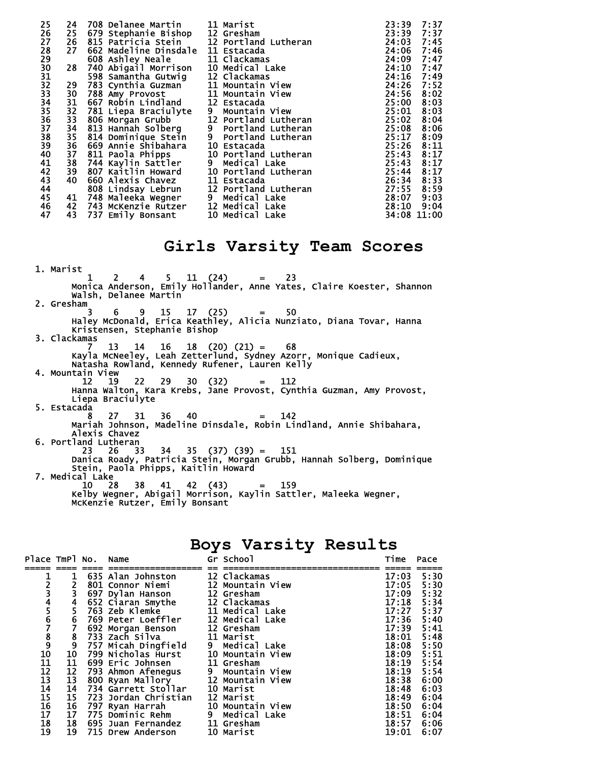| 25       | 24 | 708 Delanee Martin                | 11 Marist            | 23:39 | 7:37        |
|----------|----|-----------------------------------|----------------------|-------|-------------|
| 26       | 25 | 679 Stephanie Bishop              | 12 Gresham           | 23:39 | 7:37        |
| 27       | 26 | 815 Patricia Stein                | 12 Portland Lutheran | 24:03 | 7:45        |
| 28       | 27 | 662 Madeline Dinsdale 11 Estacada |                      | 24:06 | 7:46        |
| 29       |    | 608 Ashley Neale                  | 11 Clackamas         | 24:09 | 7:47        |
| 30       | 28 | 740 Abigail Morrison              | 10 Medical Lake      | 24:10 | 7:47        |
| 31       |    | 598 Samantha Gutwig               | 12 Clackamas         | 24:16 | 7:49        |
| 32       | 29 | 783 Cynthia Guzman                | 11 Mountain View     | 24:26 | 7:52        |
| 33       | 30 | 788 Amy Provost                   | 11 Mountain View     | 24:56 | 8:02        |
| 34       | 31 | 667 Robin Lindland                | 12 Estacada          | 25:00 | 8:03        |
| 35       | 32 | 781 Liepa Braciulyte              | 9 Mountain View      | 25:01 | 8:03        |
| 36<br>37 | 33 | 806 Morgan Grubb                  | 12 Portland Lutheran | 25:02 | 8:04        |
|          | 34 | 813 Hanñah Solberg                | 9 Portland Lutheran  | 25:08 | 8:06        |
| 38       |    | 35 814 Dominique Stein            | 9 Portland Lutheran  | 25:17 | 8:09        |
| 39       | 36 | 669 Annie Shibahara               | 10 Estacada          | 25:26 | 8:11        |
| 40       |    | 37 811 Paola Phipps               | 10 Portland Lutheran | 25:43 | 8:17        |
| 41       | 38 | 744 Kaylin Sattler                | 9 Medical Lake       | 25:43 | 8:17        |
| 42       | 39 | 807 Kaitlin Howard                | 10 Portland Lutheran | 25:44 | 8:17        |
| 43       | 40 | 660 Alexis Chavez                 | 11 Estacada          | 26:34 | 8:33        |
| 44       |    | 808 Lindsay Lebrun                | 12 Portland Lutheran | 27:55 | 8:59        |
| 45       | 41 | 748 Maleeka Wegner                | 9 Medical Lake       | 28:07 | 9:03        |
| 46       | 42 | 743 McKenzie Rutzer               | 12 Medical Lake      | 28:10 | 9:04        |
| 47       | 43 | 737 Emily Bonsant                 | 10 Medical Lake      |       | 34:08 11:00 |

## **Girls Varsity Team Scores**

 1. Marist 1 2 4 5 11 (24) = 23 Monica Anderson, Emily Hollander, Anne Yates, Claire Koester, Shannon Walsh, Delanee Martin 2. Gresham 3 6 9 15 17 (25) = 50 Haley McDonald, Erica Keathley, Alicia Nunziato, Diana Tovar, Hanna Kristensen, Stephanie Bishop 3. Clackamas 7 13 14 16 18 (20) (21) = 68 Kayla McNeeley, Leah Zetterlund, Sydney Azorr, Monique Cadieux, Natasha Rowland, Kennedy Rufener, Lauren Kelly 4. Mountain View<br>12 19 12 19 22 29 30 (32) = 112 Hanna Walton, Kara Krebs, Jane Provost, Cynthia Guzman, Amy Provost, Liepa Braciulyte 5. Estacada 8 27 31 36 40 = 142 Mariah Johnson, Madeline Dinsdale, Robin Lindland, Annie Shibahara, Alexis Chavez 6. Portland Lutheran 23 26 33 34 35 (37) (39) = 151 Danica Roady, Patricia Stein, Morgan Grubb, Hannah Solberg, Dominique Stein, Paola Phipps, Kaitlin Howard 7. Medical Lake<br> $10$  28 10 28 38 41 42 (43) = 159 Kelby Wegner, Abigail Morrison, Kaylin Sattler, Maleeka Wegner, McKenzie Rutzer, Emily Bonsant

| Boys Varsity Results |  |
|----------------------|--|
|----------------------|--|

| Place TmPl No.                     |                                             | Name                                                                                | Gr School        | Time  | Pace             |
|------------------------------------|---------------------------------------------|-------------------------------------------------------------------------------------|------------------|-------|------------------|
|                                    |                                             |                                                                                     |                  |       |                  |
|                                    |                                             | 635 Alan Johnston                                                                   | 12 Clackamas     | 17:03 | 5:30             |
|                                    |                                             | 801 Connor Niemi                                                                    | 12 Mountain View | 17:05 |                  |
|                                    | $\frac{2}{3}$                               | 697 Dylan Hanson                                                                    | 12 Gresham       | 17:09 | $5:30$<br>$5:32$ |
|                                    |                                             | 652 Ciaran Smythe                                                                   | 12 Clackamas     | 17:18 | 5:34             |
|                                    | $rac{4}{5}$                                 | <b>763 Zeb Klemke</b>                                                               | 11 Medical Lake  | 17:27 | 5:37             |
|                                    |                                             | 769 Peter Loeffler 12 Medical Lake                                                  |                  | 17:36 |                  |
| 12345678910                        | $\frac{6}{7}$                               | 692 Morgan Benson                                                                   | 12 Gresham       | 17:39 | $5:40$<br>$5:41$ |
|                                    |                                             | 733 Zach Silva                                                                      | 11 Marist        | 18:01 | 5:48             |
|                                    |                                             |                                                                                     |                  | 18:08 | 5:50             |
|                                    | $\begin{array}{c} 8 \\ 9 \\ 10 \end{array}$ | 757 Micah Dingfield     9   Medical Lake<br>799 Nicholas Hurst     10 Mountain View |                  | 18:09 |                  |
|                                    | 11                                          | 699 Eric Johnsen                                                                    | 11 Gresham       | 18:19 | $5:51$<br>$5:54$ |
| $\frac{11}{12}$<br>$\frac{12}{13}$ | 12                                          | 793 Ahmon Afenegus 9 Mountain View                                                  |                  | 18:19 | 5:54             |
|                                    | 13                                          | 800 Ryan Mallory 12 Mountain View                                                   |                  | 18:38 | 6:00             |
|                                    |                                             | 734 Garrett Stollar 10 Marist                                                       |                  | 18:48 | 6:03             |
| $\frac{14}{15}$                    | $\frac{14}{1}$                              |                                                                                     |                  |       |                  |
|                                    | 15                                          | 723 Jordan Christian                                                                | 12 Marist        | 18:49 | 6:04             |
|                                    | 16                                          | 797 Ryan Harrah             10 Mountain View                                        |                  | 18:50 | 6:04             |
| 16<br>17                           | 17                                          | 775 Dominic Rehm                                                                    | 9 Medical Lake   | 18:51 | 6:04             |
| 18                                 | 18                                          | 695 Juan Fernandez                                                                  | 11 Gresham       | 18:57 | 6:06             |
| 19                                 |                                             | <b>19 715 Drew Anderson</b>                                                         | 10 Marist        | 19:01 | 6:07             |